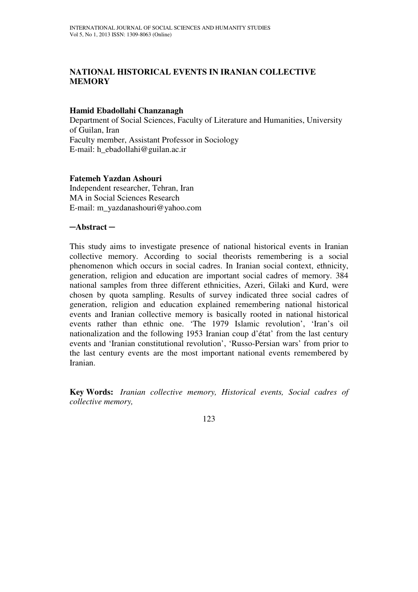# **NATIONAL HISTORICAL EVENTS IN IRANIAN COLLECTIVE MEMORY**

## **Hamid Ebadollahi Chanzanagh**

Department of Social Sciences, Faculty of Literature and Humanities, University of Guilan, Iran Faculty member, Assistant Professor in Sociology E-mail: h\_ebadollahi@guilan.ac.ir

### **Fatemeh Yazdan Ashouri**

Independent researcher, Tehran, Iran MA in Social Sciences Research E-mail: m\_yazdanashouri@yahoo.com

### ─**Abstract** ─

This study aims to investigate presence of national historical events in Iranian collective memory. According to social theorists remembering is a social phenomenon which occurs in social cadres. In Iranian social context, ethnicity, generation, religion and education are important social cadres of memory. 384 national samples from three different ethnicities, Azeri, Gilaki and Kurd, were chosen by quota sampling. Results of survey indicated three social cadres of generation, religion and education explained remembering national historical events and Iranian collective memory is basically rooted in national historical events rather than ethnic one. 'The 1979 Islamic revolution', 'Iran's oil nationalization and the following 1953 Iranian coup d'état' from the last century events and 'Iranian constitutional revolution', 'Russo-Persian wars' from prior to the last century events are the most important national events remembered by Iranian.

**Key Words:** *Iranian collective memory, Historical events, Social cadres of collective memory,*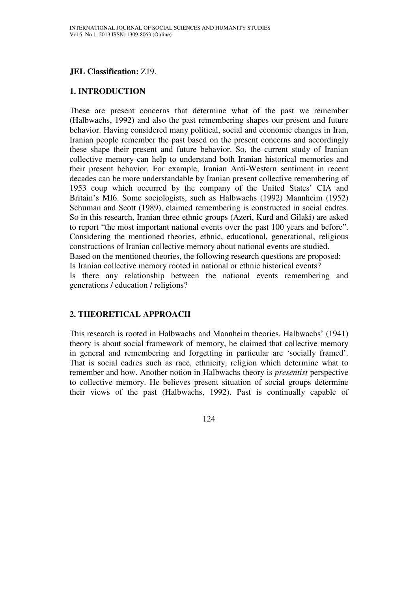## **JEL Classification:** Z19.

#### **1. INTRODUCTION**

These are present concerns that determine what of the past we remember (Halbwachs, 1992) and also the past remembering shapes our present and future behavior. Having considered many political, social and economic changes in Iran, Iranian people remember the past based on the present concerns and accordingly these shape their present and future behavior. So, the current study of Iranian collective memory can help to understand both Iranian historical memories and their present behavior. For example, Iranian Anti-Western sentiment in recent decades can be more understandable by Iranian present collective remembering of 1953 coup which occurred by the company of the United States' CIA and Britain's MI6. Some sociologists, such as Halbwachs (1992) Mannheim (1952) Schuman and Scott (1989), claimed remembering is constructed in social cadres. So in this research, Iranian three ethnic groups (Azeri, Kurd and Gilaki) are asked to report "the most important national events over the past 100 years and before". Considering the mentioned theories, ethnic, educational, generational, religious constructions of Iranian collective memory about national events are studied. Based on the mentioned theories, the following research questions are proposed: Is Iranian collective memory rooted in national or ethnic historical events? Is there any relationship between the national events remembering and generations / education / religions?

## **2. THEORETICAL APPROACH**

This research is rooted in Halbwachs and Mannheim theories. Halbwachs' (1941) theory is about social framework of memory, he claimed that collective memory in general and remembering and forgetting in particular are 'socially framed'. That is social cadres such as race, ethnicity, religion which determine what to remember and how. Another notion in Halbwachs theory is *presentist* perspective to collective memory. He believes present situation of social groups determine their views of the past (Halbwachs, 1992). Past is continually capable of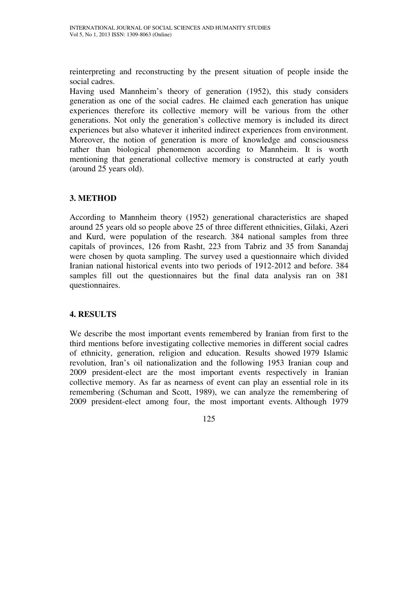reinterpreting and reconstructing by the present situation of people inside the social cadres.

Having used Mannheim's theory of generation (1952), this study considers generation as one of the social cadres. He claimed each generation has unique experiences therefore its collective memory will be various from the other generations. Not only the generation's collective memory is included its direct experiences but also whatever it inherited indirect experiences from environment. Moreover, the notion of generation is more of knowledge and consciousness rather than biological phenomenon according to Mannheim. It is worth mentioning that generational collective memory is constructed at early youth (around 25 years old).

# **3. METHOD**

According to Mannheim theory (1952) generational characteristics are shaped around 25 years old so people above 25 of three different ethnicities, Gilaki, Azeri and Kurd, were population of the research. 384 national samples from three capitals of provinces, 126 from Rasht, 223 from Tabriz and 35 from Sanandaj were chosen by quota sampling. The survey used a questionnaire which divided Iranian national historical events into two periods of 1912-2012 and before. 384 samples fill out the questionnaires but the final data analysis ran on 381 questionnaires.

# **4. RESULTS**

We describe the most important events remembered by Iranian from first to the third mentions before investigating collective memories in different social cadres of ethnicity, generation, religion and education. Results showed 1979 Islamic revolution, Iran's oil nationalization and the following 1953 Iranian coup and 2009 president-elect are the most important events respectively in Iranian collective memory. As far as nearness of event can play an essential role in its remembering (Schuman and Scott, 1989), we can analyze the remembering of 2009 president-elect among four, the most important events. Although 1979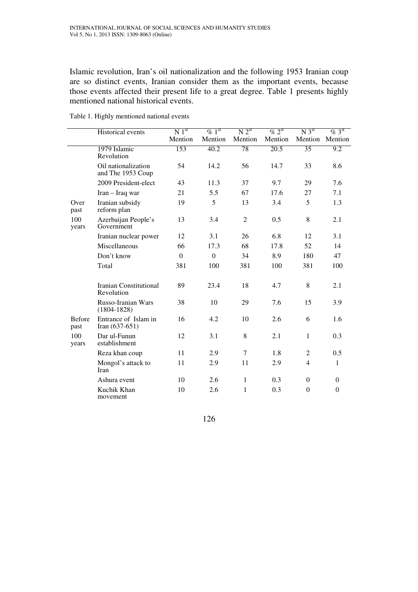Islamic revolution, Iran's oil nationalization and the following 1953 Iranian coup are so distinct events, Iranian consider them as the important events, because those events affected their present life to a great degree. Table 1 presents highly mentioned national historical events.

|                       | Historical events                        | N <sub>1</sub> <sup>st</sup> | $\%$ 1 <sup>st</sup> | N 2 <sup>st</sup> | $\%$ 2 <sup>st</sup> | N <sub>3</sub> <sup>st</sup> | $\%$ 3 <sup>st</sup> |
|-----------------------|------------------------------------------|------------------------------|----------------------|-------------------|----------------------|------------------------------|----------------------|
|                       |                                          | Mention                      | Mention              | Mention           | Mention              | Mention                      | Mention              |
|                       | 1979 Islamic<br>Revolution               | 153                          | 40.2                 | 78                | 20.5                 | 35                           | 9.2                  |
|                       | Oil nationalization<br>and The 1953 Coup | 54                           | 14.2                 | 56                | 14.7                 | 33                           | 8.6                  |
|                       | 2009 President-elect                     | 43                           | 11.3                 | 37                | 9.7                  | 29                           | 7.6                  |
|                       | Iran - Iraq war                          | 21                           | 5.5                  | 67                | 17.6                 | 27                           | 7.1                  |
| Over<br>past          | Iranian subsidy<br>reform plan           | 19                           | 5                    | 13                | 3.4                  | 5                            | 1.3                  |
| 100<br>years          | Azerbaijan People's<br>Government        | 13                           | 3.4                  | $\overline{2}$    | 0.5                  | 8                            | 2.1                  |
|                       | Iranian nuclear power                    | 12                           | 3.1                  | 26                | 6.8                  | 12                           | 3.1                  |
|                       | Miscellaneous                            | 66                           | 17.3                 | 68                | 17.8                 | 52                           | 14                   |
|                       | Don't know                               | $\Omega$                     | $\Omega$             | 34                | 8.9                  | 180                          | 47                   |
|                       | Total                                    | 381                          | 100                  | 381               | 100                  | 381                          | 100                  |
|                       | Iranian Constitutional<br>Revolution     | 89                           | 23.4                 | 18                | 4.7                  | 8                            | 2.1                  |
|                       | Russo-Iranian Wars<br>$(1804 - 1828)$    | 38                           | 10                   | 29                | 7.6                  | 15                           | 3.9                  |
| <b>Before</b><br>past | Entrance of Islam in<br>Iran $(637-651)$ | 16                           | 4.2                  | 10                | 2.6                  | 6                            | 1.6                  |
| 100<br>years          | Dar ul-Funun<br>establishment            | 12                           | 3.1                  | 8                 | 2.1                  | $\mathbf{1}$                 | 0.3                  |
|                       | Reza khan coup                           | 11                           | 2.9                  | $\tau$            | 1.8                  | $\overline{2}$               | 0.5                  |
|                       | Mongol's attack to<br>Iran               | 11                           | 2.9                  | 11                | 2.9                  | $\overline{4}$               | $\mathbf{1}$         |
|                       | Ashura event                             | 10                           | 2.6                  | $\mathbf{1}$      | 0.3                  | $\Omega$                     | $\Omega$             |
|                       | Kuchik Khan<br>movement                  | 10                           | 2.6                  | 1                 | 0.3                  | $\Omega$                     | $\Omega$             |

Table 1. Highly mentioned national events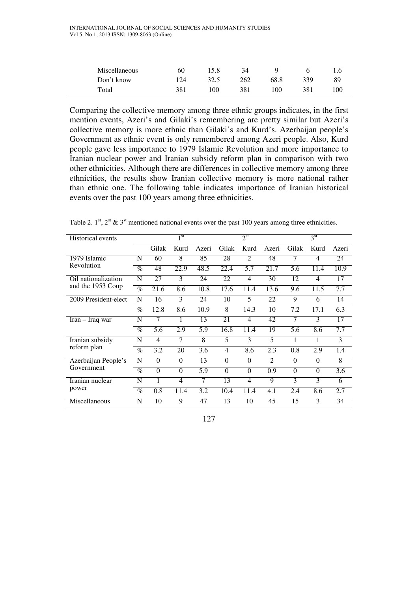| Miscellaneous | 60          | 15.8           | 34  | a    |     |     |
|---------------|-------------|----------------|-----|------|-----|-----|
| Don't know    | $\sqrt{24}$ | 32.5           | 262 | 68.8 | 339 | 89  |
| Total         | 381         | 0 <sup>0</sup> | 381 | 100  | 381 | 100 |

Comparing the collective memory among three ethnic groups indicates, in the first mention events, Azeri's and Gilaki's remembering are pretty similar but Azeri's collective memory is more ethnic than Gilaki's and Kurd's. Azerbaijan people's Government as ethnic event is only remembered among Azeri people. Also, Kurd people gave less importance to 1979 Islamic Revolution and more importance to Iranian nuclear power and Iranian subsidy reform plan in comparison with two other ethnicities. Although there are differences in collective memory among three ethnicities, the results show Iranian collective memory is more national rather than ethnic one. The following table indicates importance of Iranian historical events over the past 100 years among three ethnicities.

Table 2.  $1<sup>st</sup>$ ,  $2<sup>st</sup>$  &  $3<sup>st</sup>$  mentioned national events over the past 100 years among three ethnicities.

| <b>Historical events</b> | $\overline{1}$ st |          |                | $2^{\rm st}$ |          |                |                | 3 <sup>st</sup> |                |       |
|--------------------------|-------------------|----------|----------------|--------------|----------|----------------|----------------|-----------------|----------------|-------|
|                          |                   | Gilak    | Kurd           | Azeri        | Gilak    | Kurd           | Azeri          | Gilak           | Kurd           | Azeri |
| 1979 Islamic             | N                 | 60       | 8              | 85           | 28       | $\mathfrak{D}$ | 48             | 7               | 4              | 24    |
| Revolution               | $\%$              | 48       | 22.9           | 48.5         | 22.4     | 5.7            | 21.7           | 5.6             | 11.4           | 10.9  |
| Oil nationalization      | N                 | 27       | 3              | 24           | 22       | 4              | 30             | 12              | $\overline{4}$ | 17    |
| and the 1953 Coup        | $\%$              | 21.6     | 8.6            | 10.8         | 17.6     | 11.4           | 13.6           | 9.6             | 11.5           | 7.7   |
| 2009 President-elect     | N                 | 16       | 3              | 24           | 10       | 5              | 22             | 9               | 6              | 14    |
|                          | $\%$              | 12.8     | 8.6            | 10.9         | 8        | 14.3           | 10             | 7.2             | 17.1           | 6.3   |
| Iran – Iraq war          | N                 | 7        |                | 13           | 21       | $\overline{4}$ | 42             | 7               | 3              | 17    |
|                          | $\%$              | 5.6      | 2.9            | 5.9          | 16.8     | 11.4           | 19             | 5.6             | 8.6            | 7.7   |
| Iranian subsidy          | N                 | 4        | 7              | 8            | 5        | 3              | 5              | 1               | 1              | 3     |
| reform plan              | $\%$              | 3.2      | 20             | 3.6          | 4        | 8.6            | 2.3            | 0.8             | 2.9            | 1.4   |
| Azerbaijan People's      | N                 | $\Omega$ | $\Omega$       | 13           | $\Omega$ | $\Omega$       | $\mathfrak{D}$ | $\Omega$        | $\Omega$       | 8     |
| Government               | $\%$              | $\theta$ | $\theta$       | 5.9          | $\theta$ | $\theta$       | 0.9            | $\Omega$        | $\theta$       | 3.6   |
| Iranian nuclear          | N                 | 1        | $\overline{4}$ | 7            | 13       | $\overline{4}$ | 9              | 3               | 3              | 6     |
| power                    | $\%$              | 0.8      | 11.4           | 3.2          | 10.4     | 11.4           | 4.1            | 2.4             | 8.6            | 2.7   |
| Miscellaneous            | N                 | 10       | 9              | 47           | 13       | 10             | 45             | 15              | 3              | 34    |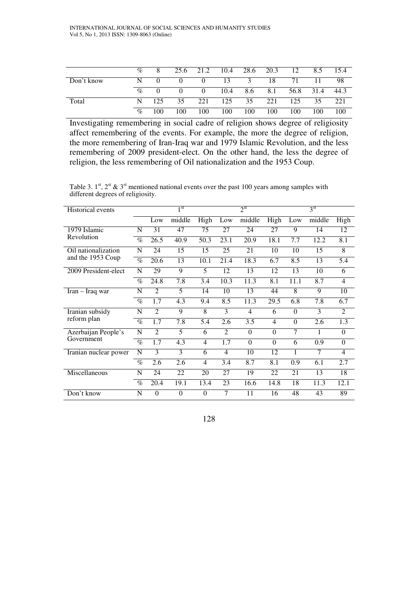|            | $\%$ |     |     | 25.6 21.2 10.4 |      | 28.6 20.3 |     | 12   | 8.5  | 15.4 |
|------------|------|-----|-----|----------------|------|-----------|-----|------|------|------|
| Don't know |      |     |     | $\theta$       | 13   | 3         | 18  | 71   |      | -98  |
|            | $\%$ |     |     | $\theta$       | 10.4 | 8.6       | 8.1 | 56.8 | 31.4 | 44.3 |
| Total      |      | 125 | 35  | 221            | 125  | 35        | 221 | 125  | 35   | 221  |
|            | $\%$ | 100 | 100 | 100            | 100  | 100       | 100 | 100  | 100  | 100  |

Investigating remembering in social cadre of religion shows degree of religiosity affect remembering of the events. For example, the more the degree of religion, the more remembering of Iran-Iraq war and 1979 Islamic Revolution, and the less remembering of 2009 president-elect. On the other hand, the less the degree of religion, the less remembering of Oil nationalization and the 1953 Coup.

Table 3.  $1^{st}$ ,  $2^{st}$  &  $3^{st}$  mentioned national events over the past 100 years among samples with different degrees of religiosity.

| <b>Historical</b> events |      |                   | $1^{\rm st}$ |                |                   | $2^{\rm st}$      |                  |          | 3 <sup>st</sup> |                  |
|--------------------------|------|-------------------|--------------|----------------|-------------------|-------------------|------------------|----------|-----------------|------------------|
|                          |      | Low               | middle       | High           | Low               | middle            | High             | Low      | middle          | High             |
| 1979 Islamic             | N    | 31                | 47           | 75             | 27                | 24                | 27               | 9        | 14              | 12               |
| Revolution               | $\%$ | $\overline{26.5}$ | 40.9         | 50.3           | $\overline{23.1}$ | $\overline{20.9}$ | 18.1             | 7.7      | 12.2            | $\overline{8.1}$ |
| Oil nationalization      | N    | 24                | 15           | 15             | 25                | 21                | 10               | 10       | 15              | $\overline{8}$   |
| and the 1953 Coup        | $\%$ | 20.6              | 13           | 10.1           | 21.4              | 18.3              | 6.7              | 8.5      | 13              | 5.4              |
| 2009 President-elect     | N    | 29                | 9            | 5              | 12                | 13                | 12               | 13       | 10              | 6                |
|                          | $\%$ | 24.8              | 7.8          | 3.4            | 10.3              | 11.3              | $\overline{8.1}$ | 11.1     | 8.7             | $\overline{4}$   |
| Iran - Iraq war          | N    | 2                 | 5            | 14             | 10                | 13                | 44               | 8        | 9               | $\overline{10}$  |
|                          | $\%$ | 1.7               | 4.3          | 9.4            | 8.5               | 11.3              | 29.5             | 6.8      | 7.8             | 6.7              |
| Iranian subsidy          | N    | $\mathfrak{D}$    | 9            | 8              | 3                 | $\overline{4}$    | 6                | $\Omega$ | 3               | $\overline{2}$   |
| reform plan              | $\%$ | 1.7               | 7.8          | 5.4            | 2.6               | $\overline{3.5}$  | $\overline{4}$   | $\Omega$ | 2.6             | 1.3              |
| Azerbaijan People's      | N    | $\mathfrak{D}$    | 5            | 6              | $\overline{2}$    | $\Omega$          | $\Omega$         | 7        | 1               | $\theta$         |
| Government               | $\%$ | 1.7               | 4.3          | 4              | 1.7               | $\Omega$          | $\Omega$         | 6        | 0.9             | $\Omega$         |
| Iranian nuclear power    | N    | 3                 | 3            | 6              | $\overline{4}$    | 10                | 12               | 1        | 7               | $\overline{4}$   |
|                          | $\%$ | 2.6               | 2.6          | $\overline{4}$ | 3.4               | 8.7               | 8.1              | 0.9      | 6.1             | 2.7              |
| Miscellaneous            | N    | 24                | 22           | 20             | 27                | 19                | 22               | 21       | 13              | 18               |
|                          | $\%$ | 20.4              | 19.1         | 13.4           | 23                | 16.6              | 14.8             | 18       | 11.3            | 12.1             |
| Don't know               | N    | $\Omega$          | $\theta$     | $\theta$       | 7                 | 11                | 16               | 48       | 43              | 89               |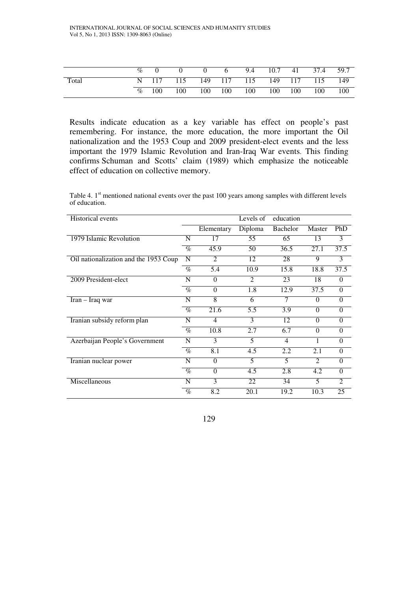|       | $\%$ |       |                                       | $0 \quad 6$ |             |         | 9.4 10.7 41 37.4 59.7 |       |
|-------|------|-------|---------------------------------------|-------------|-------------|---------|-----------------------|-------|
| Total |      |       | N 117 115 149 117 115 149 117 115 149 |             |             |         |                       |       |
|       | $\%$ | - 100 | 100                                   |             | 100 100 100 | 100 100 | 100                   | - 100 |

Results indicate education as a key variable has effect on people's past remembering. For instance, the more education, the more important the Oil nationalization and the 1953 Coup and 2009 president-elect events and the less important the 1979 Islamic Revolution and Iran-Iraq War events. This finding confirms Schuman and Scotts' claim (1989) which emphasize the noticeable effect of education on collective memory.

Table 4.  $1<sup>st</sup>$  mentioned national events over the past 100 years among samples with different levels of education.

| <b>Historical</b> events              |      |                             | Levels of                   | education      |                |                |
|---------------------------------------|------|-----------------------------|-----------------------------|----------------|----------------|----------------|
|                                       |      | Elementary                  | Diploma                     | Bachelor       | Master         | PhD            |
| 1979 Islamic Revolution               | N    | 17                          | 55                          | 65             | 13             | 3              |
|                                       | $\%$ | 45.9                        | 50                          | 36.5           | 27.1           | 37.5           |
| Oil nationalization and the 1953 Coup | N    | $\mathcal{D}_{\mathcal{L}}$ | 12                          | 28             | 9              | 3              |
|                                       | $\%$ | 5.4                         | 10.9                        | 15.8           | 18.8           | 37.5           |
| 2009 President-elect                  | N    | $\Omega$                    | $\mathcal{D}_{\mathcal{L}}$ | 23             | 18             | 0              |
|                                       | $\%$ | $\Omega$                    | 1.8                         | 12.9           | 37.5           | $\theta$       |
| Iran - Iraq war                       | N    | $\overline{8}$              | 6                           | 7              | $\Omega$       | $\theta$       |
|                                       | $\%$ | 21.6                        | 5.5                         | 3.9            | $\Omega$       | $\theta$       |
| Iranian subsidy reform plan           | N    | 4                           | $\mathbf{3}$                | 12             | $\Omega$       | $\Omega$       |
|                                       | $\%$ | 10.8                        | 2.7                         | 6.7            | $\Omega$       | $\Omega$       |
| Azerbaijan People's Government        | N    | 3                           | 5                           | $\overline{4}$ | 1              | $\Omega$       |
|                                       | $\%$ | 8.1                         | 4.5                         | 2.2            | 2.1            | $\Omega$       |
| Iranian nuclear power                 | N    | $\Omega$                    | 5                           | 5              | $\overline{2}$ | $\theta$       |
|                                       | $\%$ | $\Omega$                    | 4.5                         | 2.8            | 4.2            | $\Omega$       |
| Miscellaneous                         | N    | 3                           | 22                          | 34             | 5              | $\overline{2}$ |
|                                       | $\%$ | 8.2                         | 20.1                        | 19.2           | 10.3           | 25             |

129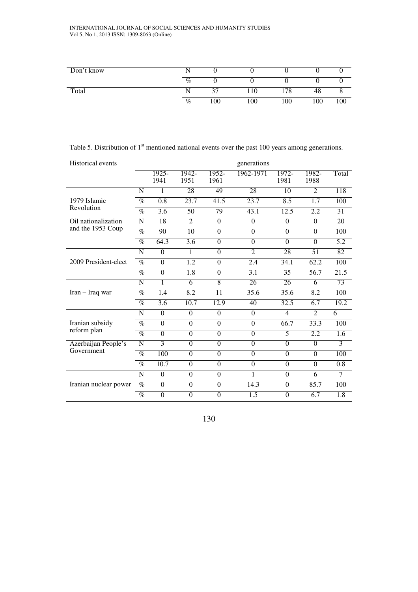#### INTERNATIONAL JOURNAL OF SOCIAL SCIENCES AND HUMANITY STUDIES Vol 5, No 1, 2013 ISSN: 1309-8063 (Online)

| Don't know |      |     |     |     |     |     |
|------------|------|-----|-----|-----|-----|-----|
|            | $\%$ |     |     |     |     |     |
| Total      |      |     | 110 | 78  | 48  |     |
|            | $\%$ | 100 | 100 | 100 | 100 | 100 |

### Table 5. Distribution of 1<sup>st</sup> mentioned national events over the past 100 years among generations.

| <b>Historical</b> events |                 |                  |                |                  | generations    |                 |                 |       |
|--------------------------|-----------------|------------------|----------------|------------------|----------------|-----------------|-----------------|-------|
|                          |                 | $1925 -$<br>1941 | 1942-<br>1951  | $1952 -$<br>1961 | 1962-1971      | $1972-$<br>1981 | 1982-<br>1988   | Total |
|                          | N               | 1                | 28             | 49               | 28             | 10              | $\mathfrak{D}$  | 118   |
| 1979 Islamic             | $\%$            | 0.8              | 23.7           | 41.5             | 23.7           | 8.5             | 1.7             | 100   |
| Revolution               | $\overline{\%}$ | 3.6              | 50             | 79               | 43.1           | 12.5            | 2.2             | 31    |
| Oil nationalization      | N               | 18               | $\overline{2}$ | $\theta$         | $\theta$       | $\Omega$        | $\Omega$        | 20    |
| and the 1953 Coup        | $\overline{\%}$ | 90               | 10             | $\Omega$         | $\overline{0}$ | $\Omega$        | $\Omega$        | 100   |
|                          | $\%$            | 64.3             | 3.6            | $\Omega$         | $\theta$       | $\Omega$        | $\Omega$        | 5.2   |
| 2009 President-elect     | N               | $\overline{0}$   | 1              | $\theta$         | $\overline{2}$ | 28              | $\overline{51}$ | 82    |
|                          | $\overline{\%}$ | $\overline{0}$   | 1.2            | $\Omega$         | 2.4            | 34.1            | 62.2            | 100   |
|                          | $\%$            | $\Omega$         | 1.8            | $\theta$         | 3.1            | 35              | 56.7            | 21.5  |
|                          | N               | 1                | 6              | $\overline{8}$   | 26             | 26              | 6               | 73    |
| $Iran - Iraq war$        | $\%$            | 1.4              | 8.2            | 11               | 35.6           | 35.6            | 8.2             | 100   |
|                          | $\overline{\%}$ | 3.6              | 10.7           | 12.9             | 40             | 32.5            | 6.7             | 19.2  |
|                          | N               | $\overline{0}$   | $\overline{0}$ | $\theta$         | $\theta$       | $\overline{4}$  | $\overline{2}$  | 6     |
| Iranian subsidy          | $\%$            | $\overline{0}$   | $\theta$       | $\Omega$         | $\theta$       | 66.7            | 33.3            | 100   |
| reform plan              | $\overline{\%}$ | $\overline{0}$   | $\overline{0}$ | $\Omega$         | $\overline{0}$ | 5               | 2.2             | 1.6   |
| Azerbaijan People's      | N               | $\overline{3}$   | $\mathbf{0}$   | $\theta$         | $\theta$       | $\Omega$        | $\Omega$        | 3     |
| Government               | $\%$            | 100              | $\mathbf{0}$   | $\Omega$         | $\theta$       | $\Omega$        | $\Omega$        | 100   |
|                          | $\%$            | 10.7             | $\mathbf{0}$   | $\theta$         | $\overline{0}$ | $\Omega$        | $\Omega$        | 0.8   |
|                          | N               | $\Omega$         | $\theta$       | $\Omega$         | 1              | $\Omega$        | 6               | 7     |
| Iranian nuclear power    | $\%$            | $\overline{0}$   | $\mathbf{0}$   | $\theta$         | 14.3           | $\Omega$        | 85.7            | 100   |
|                          | $\%$            | $\theta$         | $\theta$       | $\theta$         | 1.5            | $\Omega$        | 6.7             | 1.8   |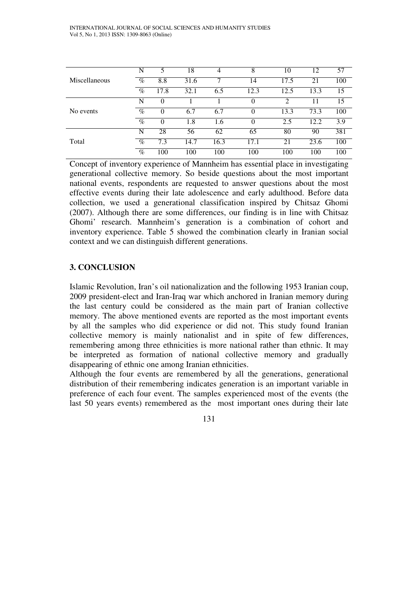|               | N                          | 5        | 18   | 4    | 8        | 10   | 12   | 57  |
|---------------|----------------------------|----------|------|------|----------|------|------|-----|
| Miscellaneous | $\overline{\mathcal{C}}_0$ | 8.8      | 31.6 |      | 14       | 17.5 | 21   | 100 |
|               | $\%$                       | 17.8     | 32.1 | 6.5  | 12.3     | 12.5 | 13.3 | 15  |
|               | N                          |          |      |      | $\theta$ | ↑    |      | 15  |
| No events     | $\overline{\mathcal{C}}_0$ | 0        | 6.7  | 6.7  | $\theta$ | 13.3 | 73.3 | 100 |
|               | $\%$                       | $\Omega$ | 1.8  | 1.6  | $\Omega$ | 2.5  | 12.2 | 3.9 |
|               | N                          | 28       | 56   | 62   | 65       | 80   | 90   | 381 |
| Total         | $\%$                       | 7.3      | 14.7 | 16.3 | 17.1     | 21   | 23.6 | 100 |
|               | $\%$                       | 100      | 100  | 100  | 100      | 100  | 100  | 100 |

Concept of inventory experience of Mannheim has essential place in investigating generational collective memory. So beside questions about the most important national events, respondents are requested to answer questions about the most effective events during their late adolescence and early adulthood. Before data collection, we used a generational classification inspired by Chitsaz Ghomi (2007). Although there are some differences, our finding is in line with Chitsaz Ghomi' research. Mannheim's generation is a combination of cohort and inventory experience. Table 5 showed the combination clearly in Iranian social context and we can distinguish different generations.

# **3. CONCLUSION**

Islamic Revolution, Iran's oil nationalization and the following 1953 Iranian coup, 2009 president-elect and Iran-Iraq war which anchored in Iranian memory during the last century could be considered as the main part of Iranian collective memory. The above mentioned events are reported as the most important events by all the samples who did experience or did not. This study found Iranian collective memory is mainly nationalist and in spite of few differences, remembering among three ethnicities is more national rather than ethnic. It may be interpreted as formation of national collective memory and gradually disappearing of ethnic one among Iranian ethnicities.

Although the four events are remembered by all the generations, generational distribution of their remembering indicates generation is an important variable in preference of each four event. The samples experienced most of the events (the last 50 years events) remembered as the most important ones during their late